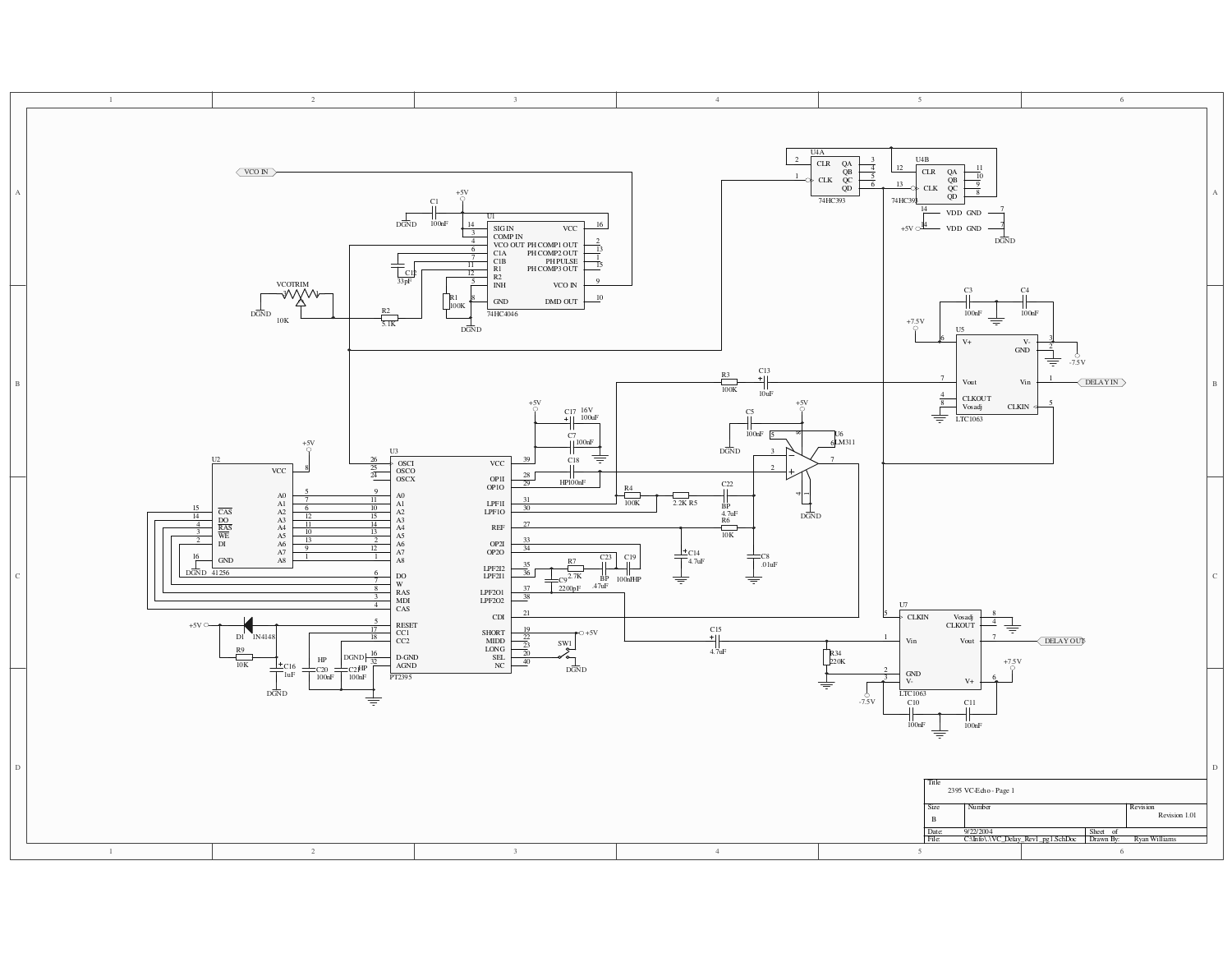